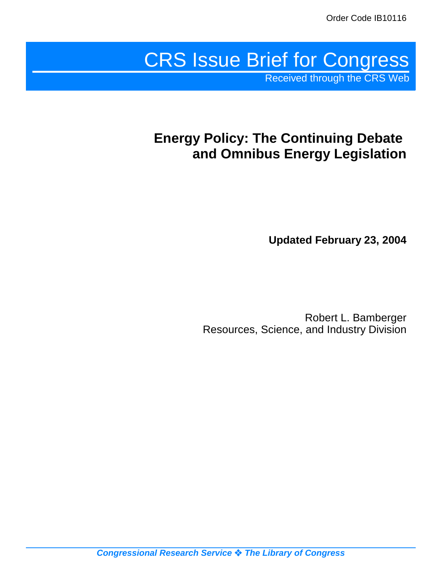# CRS Issue Brief for Congress

Received through the CRS Web

# **Energy Policy: The Continuing Debate and Omnibus Energy Legislation**

**Updated February 23, 2004**

Robert L. Bamberger Resources, Science, and Industry Division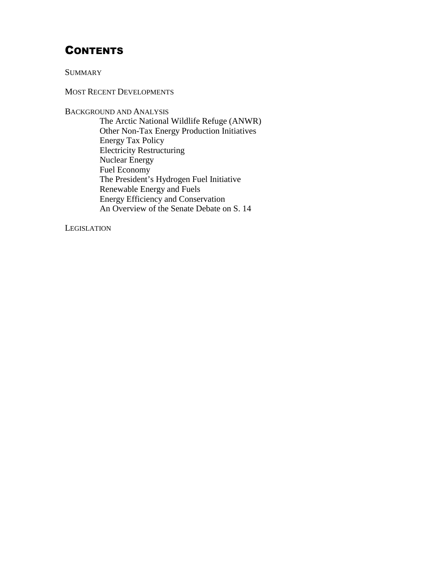# **CONTENTS**

**SUMMARY** 

MOST RECENT DEVELOPMENTS

BACKGROUND AND ANALYSIS The Arctic National Wildlife Refuge (ANWR) Other Non-Tax Energy Production Initiatives Energy Tax Policy Electricity Restructuring Nuclear Energy Fuel Economy The President's Hydrogen Fuel Initiative Renewable Energy and Fuels Energy Efficiency and Conservation An Overview of the Senate Debate on S. 14

**LEGISLATION**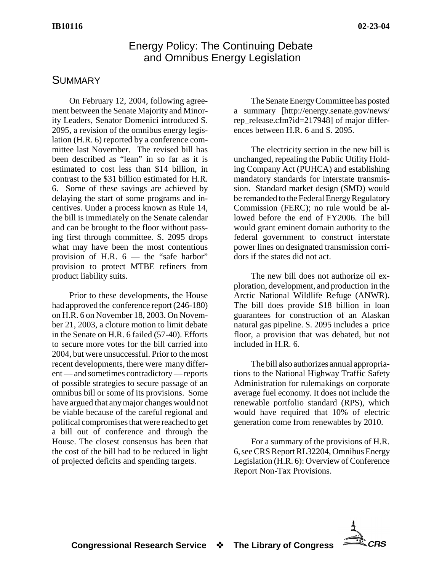## Energy Policy: The Continuing Debate and Omnibus Energy Legislation

# **SUMMARY**

On February 12, 2004, following agreement between the Senate Majority and Minority Leaders, Senator Domenici introduced S. 2095, a revision of the omnibus energy legislation (H.R. 6) reported by a conference committee last November. The revised bill has been described as "lean" in so far as it is estimated to cost less than \$14 billion, in contrast to the \$31 billion estimated for H.R. 6. Some of these savings are achieved by delaying the start of some programs and incentives. Under a process known as Rule 14, the bill is immediately on the Senate calendar and can be brought to the floor without passing first through committee. S. 2095 drops what may have been the most contentious provision of H.R.  $6$  — the "safe harbor" provision to protect MTBE refiners from product liability suits.

Prior to these developments, the House had approved the conference report (246-180) on H.R. 6 on November 18, 2003. On November 21, 2003, a cloture motion to limit debate in the Senate on H.R. 6 failed (57-40). Efforts to secure more votes for the bill carried into 2004, but were unsuccessful. Prior to the most recent developments, there were many different — and sometimes contradictory — reports of possible strategies to secure passage of an omnibus bill or some of its provisions. Some have argued that any major changes would not be viable because of the careful regional and political compromises that were reached to get a bill out of conference and through the House. The closest consensus has been that the cost of the bill had to be reduced in light of projected deficits and spending targets.

The Senate Energy Committee has posted a summary [http://energy.senate.gov/news/ rep\_release.cfm?id=217948] of major differences between H.R. 6 and S. 2095.

The electricity section in the new bill is unchanged, repealing the Public Utility Holding Company Act (PUHCA) and establishing mandatory standards for interstate transmission. Standard market design (SMD) would be remanded to the Federal Energy Regulatory Commission (FERC); no rule would be allowed before the end of FY2006. The bill would grant eminent domain authority to the federal government to construct interstate power lines on designated transmission corridors if the states did not act.

The new bill does not authorize oil exploration, development, and production in the Arctic National Wildlife Refuge (ANWR). The bill does provide \$18 billion in loan guarantees for construction of an Alaskan natural gas pipeline. S. 2095 includes a price floor, a provision that was debated, but not included in H.R. 6.

The bill also authorizes annual appropriations to the National Highway Traffic Safety Administration for rulemakings on corporate average fuel economy. It does not include the renewable portfolio standard (RPS), which would have required that 10% of electric generation come from renewables by 2010.

For a summary of the provisions of H.R. 6, see CRS Report RL32204, Omnibus Energy Legislation (H.R. 6): Overview of Conference Report Non-Tax Provisions.

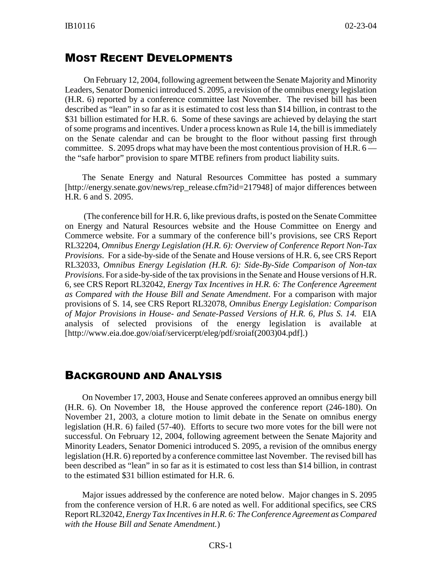#### MOST RECENT DEVELOPMENTS

 On February 12, 2004, following agreement between the Senate Majority and Minority Leaders, Senator Domenici introduced S. 2095, a revision of the omnibus energy legislation (H.R. 6) reported by a conference committee last November. The revised bill has been described as "lean" in so far as it is estimated to cost less than \$14 billion, in contrast to the \$31 billion estimated for H.R. 6. Some of these savings are achieved by delaying the start of some programs and incentives. Under a process known as Rule 14, the bill is immediately on the Senate calendar and can be brought to the floor without passing first through committee. S. 2095 drops what may have been the most contentious provision of H.R.  $6$ the "safe harbor" provision to spare MTBE refiners from product liability suits.

The Senate Energy and Natural Resources Committee has posted a summary [http://energy.senate.gov/news/rep\_release.cfm?id=217948] of major differences between H.R. 6 and S. 2095.

 (The conference bill for H.R. 6, like previous drafts, is posted on the Senate Committee on Energy and Natural Resources website and the House Committee on Energy and Commerce website. For a summary of the conference bill's provisions, see CRS Report RL32204, *Omnibus Energy Legislation (H.R. 6): Overview of Conference Report Non-Tax Provisions*. For a side-by-side of the Senate and House versions of H.R. 6, see CRS Report RL32033, *Omnibus Energy Legislation (H.R. 6): Side-By-Side Comparison of Non-tax Provisions*. For a side-by-side of the tax provisions in the Senate and House versions of H.R. 6, see CRS Report RL32042, *Energy Tax Incentives in H.R. 6: The Conference Agreement as Compared with the House Bill and Senate Amendment*. For a comparison with major provisions of S. 14, see CRS Report RL32078, *Omnibus Energy Legislation: Comparison of Major Provisions in House- and Senate-Passed Versions of H.R. 6, Plus S. 14.* EIA analysis of selected provisions of the energy legislation is available at [http://www.eia.doe.gov/oiaf/servicerpt/eleg/pdf/sroiaf(2003)04.pdf].)

#### BACKGROUND AND ANALYSIS

On November 17, 2003, House and Senate conferees approved an omnibus energy bill (H.R. 6). On November 18, the House approved the conference report (246-180). On November 21, 2003, a cloture motion to limit debate in the Senate on omnibus energy legislation (H.R. 6) failed (57-40). Efforts to secure two more votes for the bill were not successful. On February 12, 2004, following agreement between the Senate Majority and Minority Leaders, Senator Domenici introduced S. 2095, a revision of the omnibus energy legislation (H.R. 6) reported by a conference committee last November. The revised bill has been described as "lean" in so far as it is estimated to cost less than \$14 billion, in contrast to the estimated \$31 billion estimated for H.R. 6.

Major issues addressed by the conference are noted below. Major changes in S. 2095 from the conference version of H.R. 6 are noted as well. For additional specifics, see CRS Report RL32042, *Energy Tax Incentives in H.R. 6: The Conference Agreement as Compared with the House Bill and Senate Amendment.*)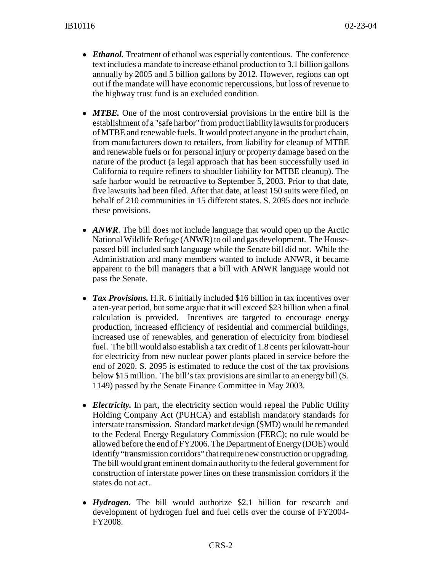- *Ethanol*. Treatment of ethanol was especially contentious. The conference text includes a mandate to increase ethanol production to 3.1 billion gallons annually by 2005 and 5 billion gallons by 2012. However, regions can opt out if the mandate will have economic repercussions, but loss of revenue to the highway trust fund is an excluded condition.
- *MTBE*. One of the most controversial provisions in the entire bill is the establishment of a "safe harbor" from product liability lawsuits for producers of MTBE and renewable fuels. It would protect anyone in the product chain, from manufacturers down to retailers, from liability for cleanup of MTBE and renewable fuels or for personal injury or property damage based on the nature of the product (a legal approach that has been successfully used in California to require refiners to shoulder liability for MTBE cleanup). The safe harbor would be retroactive to September 5, 2003. Prior to that date, five lawsuits had been filed. After that date, at least 150 suits were filed, on behalf of 210 communities in 15 different states. S. 2095 does not include these provisions.
- *ANWR*. The bill does not include language that would open up the Arctic National Wildlife Refuge (ANWR) to oil and gas development. The Housepassed bill included such language while the Senate bill did not. While the Administration and many members wanted to include ANWR, it became apparent to the bill managers that a bill with ANWR language would not pass the Senate.
- *Tax Provisions*. H.R. 6 initially included \$16 billion in tax incentives over a ten-year period, but some argue that it will exceed \$23 billion when a final calculation is provided. Incentives are targeted to encourage energy production, increased efficiency of residential and commercial buildings, increased use of renewables, and generation of electricity from biodiesel fuel. The bill would also establish a tax credit of 1.8 cents per kilowatt-hour for electricity from new nuclear power plants placed in service before the end of 2020. S. 2095 is estimated to reduce the cost of the tax provisions below \$15 million. The bill's tax provisions are similar to an energy bill (S. 1149) passed by the Senate Finance Committee in May 2003.
- *Electricity*. In part, the electricity section would repeal the Public Utility Holding Company Act (PUHCA) and establish mandatory standards for interstate transmission. Standard market design (SMD) would be remanded to the Federal Energy Regulatory Commission (FERC); no rule would be allowed before the end of FY2006. The Department of Energy (DOE) would identify "transmission corridors" that require new construction or upgrading. The bill would grant eminent domain authority to the federal government for construction of interstate power lines on these transmission corridors if the states do not act.
- *Hydrogen*. The bill would authorize \$2.1 billion for research and development of hydrogen fuel and fuel cells over the course of FY2004- FY2008.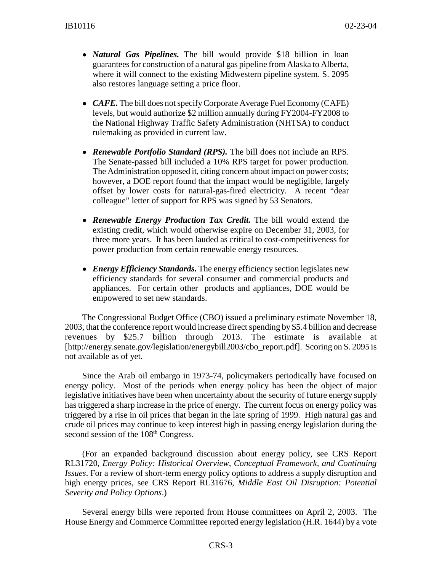- ! *Natural Gas Pipelines.* The bill would provide \$18 billion in loan guarantees for construction of a natural gas pipeline from Alaska to Alberta, where it will connect to the existing Midwestern pipeline system. S. 2095 also restores language setting a price floor.
- *CAFE*. The bill does not specify Corporate Average Fuel Economy (CAFE) levels, but would authorize \$2 million annually during FY2004-FY2008 to the National Highway Traffic Safety Administration (NHTSA) to conduct rulemaking as provided in current law.
- ! *Renewable Portfolio Standard (RPS).* The bill does not include an RPS. The Senate-passed bill included a 10% RPS target for power production. The Administration opposed it, citing concern about impact on power costs; however, a DOE report found that the impact would be negligible, largely offset by lower costs for natural-gas-fired electricity. A recent "dear colleague" letter of support for RPS was signed by 53 Senators.
- ! *Renewable Energy Production Tax Credit.* The bill would extend the existing credit, which would otherwise expire on December 31, 2003, for three more years. It has been lauded as critical to cost-competitiveness for power production from certain renewable energy resources.
- *Energy Efficiency Standards*. The energy efficiency section legislates new efficiency standards for several consumer and commercial products and appliances. For certain other products and appliances, DOE would be empowered to set new standards.

The Congressional Budget Office (CBO) issued a preliminary estimate November 18, 2003, that the conference report would increase direct spending by \$5.4 billion and decrease revenues by \$25.7 billion through 2013. The estimate is available at [http://energy.senate.gov/legislation/energybill2003/cbo\_report.pdf]. Scoring on S. 2095 is not available as of yet.

Since the Arab oil embargo in 1973-74, policymakers periodically have focused on energy policy. Most of the periods when energy policy has been the object of major legislative initiatives have been when uncertainty about the security of future energy supply has triggered a sharp increase in the price of energy. The current focus on energy policy was triggered by a rise in oil prices that began in the late spring of 1999. High natural gas and crude oil prices may continue to keep interest high in passing energy legislation during the second session of the 108<sup>th</sup> Congress.

(For an expanded background discussion about energy policy, see CRS Report RL31720, *Energy Policy: Historical Overview, Conceptual Framework, and Continuing Issues*. For a review of short-term energy policy options to address a supply disruption and high energy prices, see CRS Report RL31676, *Middle East Oil Disruption: Potential Severity and Policy Options*.)

Several energy bills were reported from House committees on April 2, 2003. The House Energy and Commerce Committee reported energy legislation (H.R. 1644) by a vote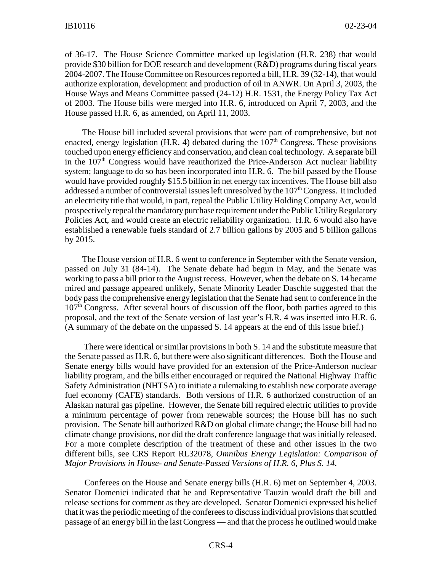of 36-17. The House Science Committee marked up legislation (H.R. 238) that would provide \$30 billion for DOE research and development (R&D) programs during fiscal years 2004-2007. The House Committee on Resources reported a bill, H.R. 39 (32-14), that would authorize exploration, development and production of oil in ANWR. On April 3, 2003, the House Ways and Means Committee passed (24-12) H.R. 1531, the Energy Policy Tax Act of 2003. The House bills were merged into H.R. 6, introduced on April 7, 2003, and the House passed H.R. 6, as amended, on April 11, 2003.

The House bill included several provisions that were part of comprehensive, but not enacted, energy legislation (H.R. 4) debated during the  $107<sup>th</sup>$  Congress. These provisions touched upon energy efficiency and conservation, and clean coal technology. A separate bill in the  $107<sup>th</sup>$  Congress would have reauthorized the Price-Anderson Act nuclear liability system; language to do so has been incorporated into H.R. 6. The bill passed by the House would have provided roughly \$15.5 billion in net energy tax incentives. The House bill also addressed a number of controversial issues left unresolved by the  $107<sup>th</sup>$  Congress. It included an electricity title that would, in part, repeal the Public Utility Holding Company Act, would prospectively repeal the mandatory purchase requirement under the Public Utility Regulatory Policies Act, and would create an electric reliability organization. H.R. 6 would also have established a renewable fuels standard of 2.7 billion gallons by 2005 and 5 billion gallons by 2015.

The House version of H.R. 6 went to conference in September with the Senate version, passed on July 31 (84-14). The Senate debate had begun in May, and the Senate was working to pass a bill prior to the August recess. However, when the debate on S. 14 became mired and passage appeared unlikely, Senate Minority Leader Daschle suggested that the body pass the comprehensive energy legislation that the Senate had sent to conference in the  $107<sup>th</sup>$  Congress. After several hours of discussion off the floor, both parties agreed to this proposal, and the text of the Senate version of last year's H.R. 4 was inserted into H.R. 6. (A summary of the debate on the unpassed S. 14 appears at the end of this issue brief.)

 There were identical or similar provisions in both S. 14 and the substitute measure that the Senate passed as H.R. 6, but there were also significant differences. Both the House and Senate energy bills would have provided for an extension of the Price-Anderson nuclear liability program, and the bills either encouraged or required the National Highway Traffic Safety Administration (NHTSA) to initiate a rulemaking to establish new corporate average fuel economy (CAFE) standards. Both versions of H.R. 6 authorized construction of an Alaskan natural gas pipeline. However, the Senate bill required electric utilities to provide a minimum percentage of power from renewable sources; the House bill has no such provision. The Senate bill authorized R&D on global climate change; the House bill had no climate change provisions, nor did the draft conference language that was initially released. For a more complete description of the treatment of these and other issues in the two different bills, see CRS Report RL32078, *Omnibus Energy Legislation: Comparison of Major Provisions in House- and Senate-Passed Versions of H.R. 6, Plus S. 14*.

 Conferees on the House and Senate energy bills (H.R. 6) met on September 4, 2003. Senator Domenici indicated that he and Representative Tauzin would draft the bill and release sections for comment as they are developed. Senator Domenici expressed his belief that it was the periodic meeting of the conferees to discuss individual provisions that scuttled passage of an energy bill in the last Congress — and that the process he outlined would make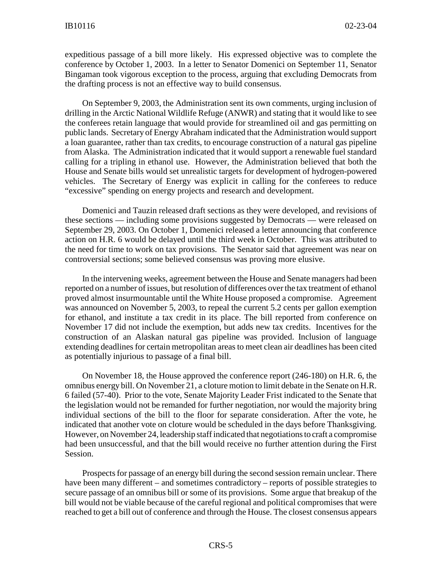expeditious passage of a bill more likely. His expressed objective was to complete the conference by October 1, 2003. In a letter to Senator Domenici on September 11, Senator Bingaman took vigorous exception to the process, arguing that excluding Democrats from the drafting process is not an effective way to build consensus.

On September 9, 2003, the Administration sent its own comments, urging inclusion of drilling in the Arctic National Wildlife Refuge (ANWR) and stating that it would like to see the conferees retain language that would provide for streamlined oil and gas permitting on public lands. Secretary of Energy Abraham indicated that the Administration would support a loan guarantee, rather than tax credits, to encourage construction of a natural gas pipeline from Alaska. The Administration indicated that it would support a renewable fuel standard calling for a tripling in ethanol use. However, the Administration believed that both the House and Senate bills would set unrealistic targets for development of hydrogen-powered vehicles. The Secretary of Energy was explicit in calling for the conferees to reduce "excessive" spending on energy projects and research and development.

Domenici and Tauzin released draft sections as they were developed, and revisions of these sections — including some provisions suggested by Democrats — were released on September 29, 2003. On October 1, Domenici released a letter announcing that conference action on H.R. 6 would be delayed until the third week in October. This was attributed to the need for time to work on tax provisions. The Senator said that agreement was near on controversial sections; some believed consensus was proving more elusive.

In the intervening weeks, agreement between the House and Senate managers had been reported on a number of issues, but resolution of differences over the tax treatment of ethanol proved almost insurmountable until the White House proposed a compromise. Agreement was announced on November 5, 2003, to repeal the current 5.2 cents per gallon exemption for ethanol, and institute a tax credit in its place. The bill reported from conference on November 17 did not include the exemption, but adds new tax credits. Incentives for the construction of an Alaskan natural gas pipeline was provided. Inclusion of language extending deadlines for certain metropolitan areas to meet clean air deadlines has been cited as potentially injurious to passage of a final bill.

On November 18, the House approved the conference report (246-180) on H.R. 6, the omnibus energy bill. On November 21, a cloture motion to limit debate in the Senate on H.R. 6 failed (57-40). Prior to the vote, Senate Majority Leader Frist indicated to the Senate that the legislation would not be remanded for further negotiation, nor would the majority bring individual sections of the bill to the floor for separate consideration. After the vote, he indicated that another vote on cloture would be scheduled in the days before Thanksgiving. However, on November 24, leadership staff indicated that negotiations to craft a compromise had been unsuccessful, and that the bill would receive no further attention during the First Session.

Prospects for passage of an energy bill during the second session remain unclear. There have been many different – and sometimes contradictory – reports of possible strategies to secure passage of an omnibus bill or some of its provisions. Some argue that breakup of the bill would not be viable because of the careful regional and political compromises that were reached to get a bill out of conference and through the House. The closest consensus appears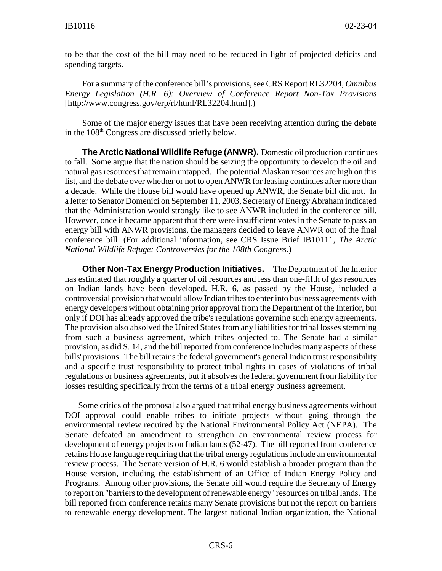to be that the cost of the bill may need to be reduced in light of projected deficits and spending targets.

For a summary of the conference bill's provisions, see CRS Report RL32204, *Omnibus Energy Legislation (H.R. 6): Overview of Conference Report Non-Tax Provisions* [http://www.congress.gov/erp/rl/html/RL32204.html].)

Some of the major energy issues that have been receiving attention during the debate in the 108<sup>th</sup> Congress are discussed briefly below.

**The Arctic National Wildlife Refuge (ANWR).** Domestic oil production continues to fall. Some argue that the nation should be seizing the opportunity to develop the oil and natural gas resources that remain untapped. The potential Alaskan resources are high on this list, and the debate over whether or not to open ANWR for leasing continues after more than a decade. While the House bill would have opened up ANWR, the Senate bill did not. In a letter to Senator Domenici on September 11, 2003, Secretary of Energy Abraham indicated that the Administration would strongly like to see ANWR included in the conference bill. However, once it became apparent that there were insufficient votes in the Senate to pass an energy bill with ANWR provisions, the managers decided to leave ANWR out of the final conference bill. (For additional information, see CRS Issue Brief IB10111, *The Arctic National Wildlife Refuge: Controversies for the 108th Congress*.)

**Other Non-Tax Energy Production Initiatives.** The Department of the Interior has estimated that roughly a quarter of oil resources and less than one-fifth of gas resources on Indian lands have been developed. H.R. 6, as passed by the House, included a controversial provision that would allow Indian tribes to enter into business agreements with energy developers without obtaining prior approval from the Department of the Interior, but only if DOI has already approved the tribe's regulations governing such energy agreements. The provision also absolved the United States from any liabilities for tribal losses stemming from such a business agreement, which tribes objected to. The Senate had a similar provision, as did S. 14, and the bill reported from conference includes many aspects of these bills' provisions. The bill retains the federal government's general Indian trust responsibility and a specific trust responsibility to protect tribal rights in cases of violations of tribal regulations or business agreements, but it absolves the federal government from liability for losses resulting specifically from the terms of a tribal energy business agreement.

 Some critics of the proposal also argued that tribal energy business agreements without DOI approval could enable tribes to initiate projects without going through the environmental review required by the National Environmental Policy Act (NEPA). The Senate defeated an amendment to strengthen an environmental review process for development of energy projects on Indian lands (52-47). The bill reported from conference retains House language requiring that the tribal energy regulations include an environmental review process. The Senate version of H.R. 6 would establish a broader program than the House version, including the establishment of an Office of Indian Energy Policy and Programs. Among other provisions, the Senate bill would require the Secretary of Energy to report on "barriers to the development of renewable energy" resources on tribal lands. The bill reported from conference retains many Senate provisions but not the report on barriers to renewable energy development. The largest national Indian organization, the National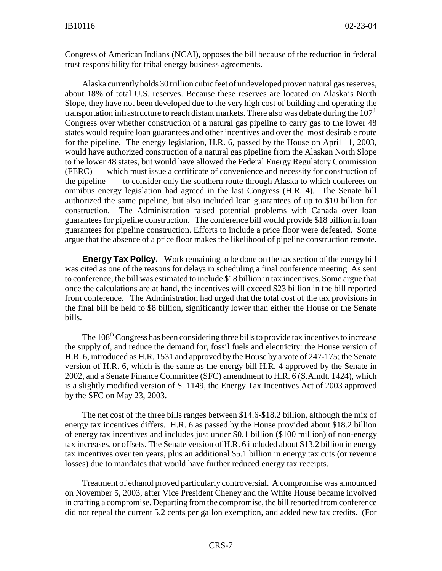Congress of American Indians (NCAI), opposes the bill because of the reduction in federal trust responsibility for tribal energy business agreements.

Alaska currently holds 30 trillion cubic feet of undeveloped proven natural gas reserves, about 18% of total U.S. reserves. Because these reserves are located on Alaska's North Slope, they have not been developed due to the very high cost of building and operating the transportation infrastructure to reach distant markets. There also was debate during the  $107<sup>th</sup>$ Congress over whether construction of a natural gas pipeline to carry gas to the lower 48 states would require loan guarantees and other incentives and over the most desirable route for the pipeline. The energy legislation, H.R. 6, passed by the House on April 11, 2003, would have authorized construction of a natural gas pipeline from the Alaskan North Slope to the lower 48 states, but would have allowed the Federal Energy Regulatory Commission (FERC) — which must issue a certificate of convenience and necessity for construction of the pipeline — to consider only the southern route through Alaska to which conferees on omnibus energy legislation had agreed in the last Congress (H.R. 4). The Senate bill authorized the same pipeline, but also included loan guarantees of up to \$10 billion for construction. The Administration raised potential problems with Canada over loan guarantees for pipeline construction. The conference bill would provide \$18 billion in loan guarantees for pipeline construction. Efforts to include a price floor were defeated. Some argue that the absence of a price floor makes the likelihood of pipeline construction remote.

**Energy Tax Policy.** Work remaining to be done on the tax section of the energy bill was cited as one of the reasons for delays in scheduling a final conference meeting. As sent to conference, the bill was estimated to include \$18 billion in tax incentives. Some argue that once the calculations are at hand, the incentives will exceed \$23 billion in the bill reported from conference. The Administration had urged that the total cost of the tax provisions in the final bill be held to \$8 billion, significantly lower than either the House or the Senate bills.

The 108<sup>th</sup> Congress has been considering three bills to provide tax incentives to increase the supply of, and reduce the demand for, fossil fuels and electricity: the House version of H.R. 6, introduced as H.R. 1531 and approved by the House by a vote of 247-175; the Senate version of H.R. 6, which is the same as the energy bill H.R. 4 approved by the Senate in 2002, and a Senate Finance Committee (SFC) amendment to H.R. 6 (S.Amdt. 1424), which is a slightly modified version of S. 1149, the Energy Tax Incentives Act of 2003 approved by the SFC on May 23, 2003.

The net cost of the three bills ranges between \$14.6-\$18.2 billion, although the mix of energy tax incentives differs. H.R. 6 as passed by the House provided about \$18.2 billion of energy tax incentives and includes just under \$0.1 billion (\$100 million) of non-energy tax increases, or offsets. The Senate version of H.R. 6 included about \$13.2 billion in energy tax incentives over ten years, plus an additional \$5.1 billion in energy tax cuts (or revenue losses) due to mandates that would have further reduced energy tax receipts.

Treatment of ethanol proved particularly controversial. A compromise was announced on November 5, 2003, after Vice President Cheney and the White House became involved in crafting a compromise. Departing from the compromise, the bill reported from conference did not repeal the current 5.2 cents per gallon exemption, and added new tax credits. (For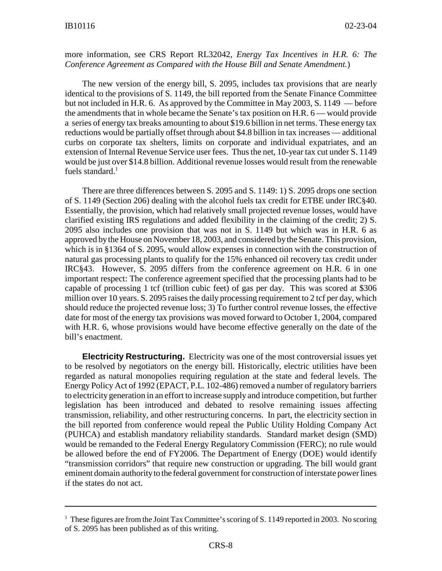#### more information, see CRS Report RL32042, *Energy Tax Incentives in H.R. 6: The Conference Agreement as Compared with the House Bill and Senate Amendment.*)

The new version of the energy bill, S. 2095, includes tax provisions that are nearly identical to the provisions of S. 1149, the bill reported from the Senate Finance Committee but not included in H.R. 6. As approved by the Committee in May 2003, S. 1149 — before the amendments that in whole became the Senate's tax position on H.R. 6 — would provide a series of energy tax breaks amounting to about \$19.6 billion in net terms. These energy tax reductions would be partially offset through about \$4.8 billion in tax increases — additional curbs on corporate tax shelters, limits on corporate and individual expatriates, and an extension of Internal Revenue Service user fees. Thus the net, 10-year tax cut under S. 1149 would be just over \$14.8 billion. Additional revenue losses would result from the renewable fuels standard. $<sup>1</sup>$ </sup>

There are three differences between S. 2095 and S. 1149: 1) S. 2095 drops one section of S. 1149 (Section 206) dealing with the alcohol fuels tax credit for ETBE under IRC§40. Essentially, the provision, which had relatively small projected revenue losses, would have clarified existing IRS regulations and added flexibility in the claiming of the credit; 2) S. 2095 also includes one provision that was not in S. 1149 but which was in H.R. 6 as approved by the House on November 18, 2003, and considered by the Senate. This provision, which is in §1364 of S. 2095, would allow expenses in connection with the construction of natural gas processing plants to qualify for the 15% enhanced oil recovery tax credit under IRC§43. However, S. 2095 differs from the conference agreement on H.R. 6 in one important respect: The conference agreement specified that the processing plants had to be capable of processing 1 tcf (trillion cubic feet) of gas per day. This was scored at \$306 million over 10 years. S. 2095 raises the daily processing requirement to 2 tcf per day, which should reduce the projected revenue loss; 3) To further control revenue losses, the effective date for most of the energy tax provisions was moved forward to October 1, 2004, compared with H.R. 6, whose provisions would have become effective generally on the date of the bill's enactment.

**Electricity Restructuring.** Electricity was one of the most controversial issues yet to be resolved by negotiators on the energy bill. Historically, electric utilities have been regarded as natural monopolies requiring regulation at the state and federal levels. The Energy Policy Act of 1992 (EPACT, P.L. 102-486) removed a number of regulatory barriers to electricity generation in an effort to increase supply and introduce competition, but further legislation has been introduced and debated to resolve remaining issues affecting transmission, reliability, and other restructuring concerns. In part, the electricity section in the bill reported from conference would repeal the Public Utility Holding Company Act (PUHCA) and establish mandatory reliability standards. Standard market design (SMD) would be remanded to the Federal Energy Regulatory Commission (FERC); no rule would be allowed before the end of FY2006. The Department of Energy (DOE) would identify "transmission corridors" that require new construction or upgrading. The bill would grant eminent domain authority to the federal government for construction of interstate power lines if the states do not act.

<sup>&</sup>lt;sup>1</sup> These figures are from the Joint Tax Committee's scoring of S. 1149 reported in 2003. No scoring of S. 2095 has been published as of this writing.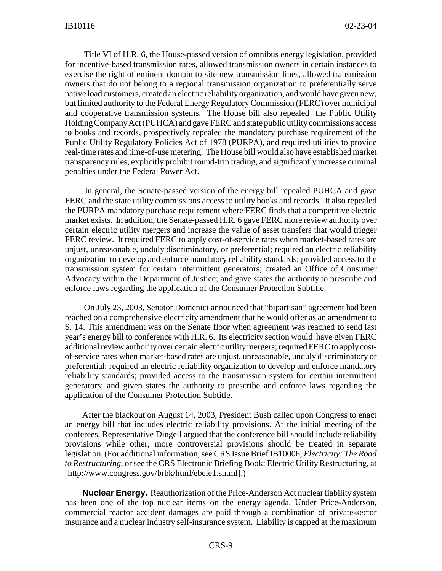Title VI of H.R. 6, the House-passed version of omnibus energy legislation, provided for incentive-based transmission rates, allowed transmission owners in certain instances to exercise the right of eminent domain to site new transmission lines, allowed transmission owners that do not belong to a regional transmission organization to preferentially serve native load customers, created an electric reliability organization, and would have given new, but limited authority to the Federal Energy Regulatory Commission (FERC) over municipal and cooperative transmission systems. The House bill also repealed the Public Utility Holding Company Act (PUHCA) and gave FERC and state public utility commissions access to books and records, prospectively repealed the mandatory purchase requirement of the Public Utility Regulatory Policies Act of 1978 (PURPA), and required utilities to provide real-time rates and time-of-use metering. The House bill would also have established market transparency rules, explicitly prohibit round-trip trading, and significantly increase criminal penalties under the Federal Power Act.

 In general, the Senate-passed version of the energy bill repealed PUHCA and gave FERC and the state utility commissions access to utility books and records. It also repealed the PURPA mandatory purchase requirement where FERC finds that a competitive electric market exists. In addition, the Senate-passed H.R. 6 gave FERC more review authority over certain electric utility mergers and increase the value of asset transfers that would trigger FERC review. It required FERC to apply cost-of-service rates when market-based rates are unjust, unreasonable, unduly discriminatory, or preferential; required an electric reliability organization to develop and enforce mandatory reliability standards; provided access to the transmission system for certain intermittent generators; created an Office of Consumer Advocacy within the Department of Justice; and gave states the authority to prescribe and enforce laws regarding the application of the Consumer Protection Subtitle.

 On July 23, 2003, Senator Domenici announced that "bipartisan" agreement had been reached on a comprehensive electricity amendment that he would offer as an amendment to S. 14. This amendment was on the Senate floor when agreement was reached to send last year's energy bill to conference with H.R. 6. Its electricity section would have given FERC additional review authority over certain electric utility mergers; required FERC to apply costof-service rates when market-based rates are unjust, unreasonable, unduly discriminatory or preferential; required an electric reliability organization to develop and enforce mandatory reliability standards; provided access to the transmission system for certain intermittent generators; and given states the authority to prescribe and enforce laws regarding the application of the Consumer Protection Subtitle.

After the blackout on August 14, 2003, President Bush called upon Congress to enact an energy bill that includes electric reliability provisions. At the initial meeting of the conferees, Representative Dingell argued that the conference bill should include reliability provisions while other, more controversial provisions should be treated in separate legislation. (For additional information, see CRS Issue Brief IB10006, *Electricity: The Road to Restructuring*, or see the CRS Electronic Briefing Book: Electric Utility Restructuring, at [http://www.congress.gov/brbk/html/ebele1.shtml].)

**Nuclear Energy.** Reauthorization of the Price-Anderson Act nuclear liability system has been one of the top nuclear items on the energy agenda. Under Price-Anderson, commercial reactor accident damages are paid through a combination of private-sector insurance and a nuclear industry self-insurance system. Liability is capped at the maximum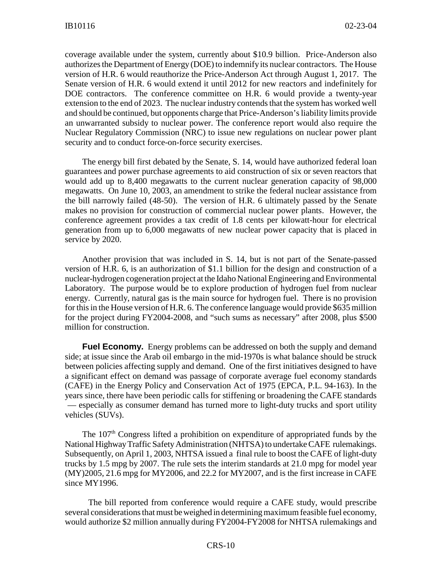coverage available under the system, currently about \$10.9 billion. Price-Anderson also authorizes the Department of Energy (DOE) to indemnify its nuclear contractors. The House version of H.R. 6 would reauthorize the Price-Anderson Act through August 1, 2017. The Senate version of H.R. 6 would extend it until 2012 for new reactors and indefinitely for DOE contractors. The conference committee on H.R. 6 would provide a twenty-year extension to the end of 2023. The nuclear industry contends that the system has worked well and should be continued, but opponents charge that Price-Anderson's liability limits provide an unwarranted subsidy to nuclear power. The conference report would also require the Nuclear Regulatory Commission (NRC) to issue new regulations on nuclear power plant security and to conduct force-on-force security exercises.

The energy bill first debated by the Senate, S. 14, would have authorized federal loan guarantees and power purchase agreements to aid construction of six or seven reactors that would add up to 8,400 megawatts to the current nuclear generation capacity of 98,000 megawatts. On June 10, 2003, an amendment to strike the federal nuclear assistance from the bill narrowly failed (48-50). The version of H.R. 6 ultimately passed by the Senate makes no provision for construction of commercial nuclear power plants. However, the conference agreement provides a tax credit of 1.8 cents per kilowatt-hour for electrical generation from up to 6,000 megawatts of new nuclear power capacity that is placed in service by 2020.

Another provision that was included in S. 14, but is not part of the Senate-passed version of H.R. 6, is an authorization of \$1.1 billion for the design and construction of a nuclear-hydrogen cogeneration project at the Idaho National Engineering and Environmental Laboratory. The purpose would be to explore production of hydrogen fuel from nuclear energy. Currently, natural gas is the main source for hydrogen fuel. There is no provision for this in the House version of H.R. 6. The conference language would provide \$635 million for the project during FY2004-2008, and "such sums as necessary" after 2008, plus \$500 million for construction.

**Fuel Economy.** Energy problems can be addressed on both the supply and demand side; at issue since the Arab oil embargo in the mid-1970s is what balance should be struck between policies affecting supply and demand. One of the first initiatives designed to have a significant effect on demand was passage of corporate average fuel economy standards (CAFE) in the Energy Policy and Conservation Act of 1975 (EPCA, P.L. 94-163). In the years since, there have been periodic calls for stiffening or broadening the CAFE standards — especially as consumer demand has turned more to light-duty trucks and sport utility vehicles (SUVs).

The 107<sup>th</sup> Congress lifted a prohibition on expenditure of appropriated funds by the National Highway Traffic Safety Administration (NHTSA) to undertake CAFE rulemakings. Subsequently, on April 1, 2003, NHTSA issued a final rule to boost the CAFE of light-duty trucks by 1.5 mpg by 2007. The rule sets the interim standards at 21.0 mpg for model year (MY)2005, 21.6 mpg for MY2006, and 22.2 for MY2007, and is the first increase in CAFE since MY1996.

 The bill reported from conference would require a CAFE study, would prescribe several considerations that must be weighed in determining maximum feasible fuel economy, would authorize \$2 million annually during FY2004-FY2008 for NHTSA rulemakings and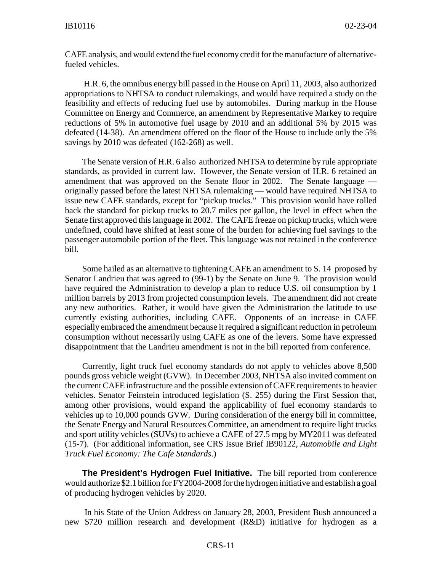CAFE analysis, and would extend the fuel economy credit for the manufacture of alternativefueled vehicles.

 H.R. 6, the omnibus energy bill passed in the House on April 11, 2003, also authorized appropriations to NHTSA to conduct rulemakings, and would have required a study on the feasibility and effects of reducing fuel use by automobiles. During markup in the House Committee on Energy and Commerce, an amendment by Representative Markey to require reductions of 5% in automotive fuel usage by 2010 and an additional 5% by 2015 was defeated (14-38). An amendment offered on the floor of the House to include only the 5% savings by 2010 was defeated (162-268) as well.

The Senate version of H.R. 6 also authorized NHTSA to determine by rule appropriate standards, as provided in current law. However, the Senate version of H.R. 6 retained an amendment that was approved on the Senate floor in 2002. The Senate language originally passed before the latest NHTSA rulemaking — would have required NHTSA to issue new CAFE standards, except for "pickup trucks." This provision would have rolled back the standard for pickup trucks to 20.7 miles per gallon, the level in effect when the Senate first approved this language in 2002. The CAFE freeze on pickup trucks, which were undefined, could have shifted at least some of the burden for achieving fuel savings to the passenger automobile portion of the fleet. This language was not retained in the conference bill.

Some hailed as an alternative to tightening CAFE an amendment to S. 14 proposed by Senator Landrieu that was agreed to (99-1) by the Senate on June 9. The provision would have required the Administration to develop a plan to reduce U.S. oil consumption by 1 million barrels by 2013 from projected consumption levels. The amendment did not create any new authorities. Rather, it would have given the Administration the latitude to use currently existing authorities, including CAFE. Opponents of an increase in CAFE especially embraced the amendment because it required a significant reduction in petroleum consumption without necessarily using CAFE as one of the levers. Some have expressed disappointment that the Landrieu amendment is not in the bill reported from conference.

Currently, light truck fuel economy standards do not apply to vehicles above 8,500 pounds gross vehicle weight (GVW). In December 2003, NHTSA also invited comment on the current CAFE infrastructure and the possible extension of CAFE requirements to heavier vehicles. Senator Feinstein introduced legislation (S. 255) during the First Session that, among other provisions, would expand the applicability of fuel economy standards to vehicles up to 10,000 pounds GVW. During consideration of the energy bill in committee, the Senate Energy and Natural Resources Committee, an amendment to require light trucks and sport utility vehicles (SUVs) to achieve a CAFE of 27.5 mpg by MY2011 was defeated (15-7). (For additional information, see CRS Issue Brief IB90122, *Automobile and Light Truck Fuel Economy: The Cafe Standards*.)

**The President's Hydrogen Fuel Initiative.** The bill reported from conference would authorize \$2.1 billion for FY2004-2008 for the hydrogen initiative and establish a goal of producing hydrogen vehicles by 2020.

 In his State of the Union Address on January 28, 2003, President Bush announced a new \$720 million research and development (R&D) initiative for hydrogen as a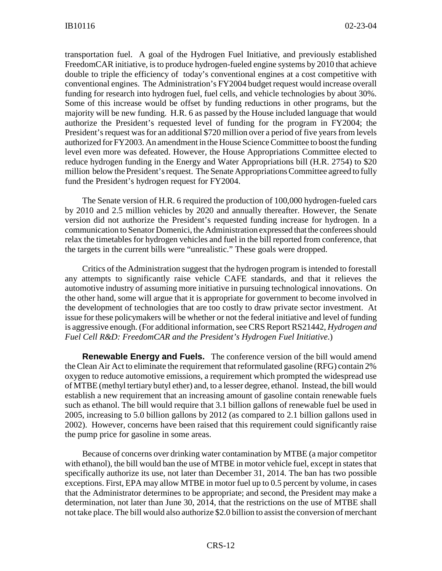transportation fuel. A goal of the Hydrogen Fuel Initiative, and previously established FreedomCAR initiative, is to produce hydrogen-fueled engine systems by 2010 that achieve double to triple the efficiency of today's conventional engines at a cost competitive with conventional engines. The Administration's FY2004 budget request would increase overall funding for research into hydrogen fuel, fuel cells, and vehicle technologies by about 30%. Some of this increase would be offset by funding reductions in other programs, but the majority will be new funding. H.R. 6 as passed by the House included language that would authorize the President's requested level of funding for the program in FY2004; the President's request was for an additional \$720 million over a period of five years from levels authorized for FY2003. An amendment in the House Science Committee to boost the funding level even more was defeated. However, the House Appropriations Committee elected to reduce hydrogen funding in the Energy and Water Appropriations bill (H.R. 2754) to \$20 million below the President's request. The Senate Appropriations Committee agreed to fully fund the President's hydrogen request for FY2004.

The Senate version of H.R. 6 required the production of 100,000 hydrogen-fueled cars by 2010 and 2.5 million vehicles by 2020 and annually thereafter. However, the Senate version did not authorize the President's requested funding increase for hydrogen. In a communication to Senator Domenici, the Administration expressed that the conferees should relax the timetables for hydrogen vehicles and fuel in the bill reported from conference, that the targets in the current bills were "unrealistic." These goals were dropped.

Critics of the Administration suggest that the hydrogen program is intended to forestall any attempts to significantly raise vehicle CAFE standards, and that it relieves the automotive industry of assuming more initiative in pursuing technological innovations. On the other hand, some will argue that it is appropriate for government to become involved in the development of technologies that are too costly to draw private sector investment. At issue for these policymakers will be whether or not the federal initiative and level of funding is aggressive enough. (For additional information, see CRS Report RS21442, *Hydrogen and Fuel Cell R&D: FreedomCAR and the President's Hydrogen Fuel Initiative*.)

**Renewable Energy and Fuels.** The conference version of the bill would amend the Clean Air Act to eliminate the requirement that reformulated gasoline (RFG) contain 2% oxygen to reduce automotive emissions, a requirement which prompted the widespread use of MTBE (methyl tertiary butyl ether) and, to a lesser degree, ethanol. Instead, the bill would establish a new requirement that an increasing amount of gasoline contain renewable fuels such as ethanol. The bill would require that 3.1 billion gallons of renewable fuel be used in 2005, increasing to 5.0 billion gallons by 2012 (as compared to 2.1 billion gallons used in 2002). However, concerns have been raised that this requirement could significantly raise the pump price for gasoline in some areas.

Because of concerns over drinking water contamination by MTBE (a major competitor with ethanol), the bill would ban the use of MTBE in motor vehicle fuel, except in states that specifically authorize its use, not later than December 31, 2014. The ban has two possible exceptions. First, EPA may allow MTBE in motor fuel up to 0.5 percent by volume, in cases that the Administrator determines to be appropriate; and second, the President may make a determination, not later than June 30, 2014, that the restrictions on the use of MTBE shall not take place. The bill would also authorize \$2.0 billion to assist the conversion of merchant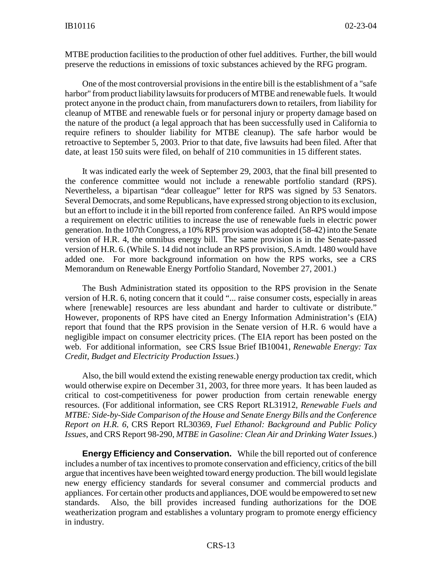MTBE production facilities to the production of other fuel additives. Further, the bill would preserve the reductions in emissions of toxic substances achieved by the RFG program.

One of the most controversial provisions in the entire bill is the establishment of a "safe harbor" from product liability lawsuits for producers of MTBE and renewable fuels. It would protect anyone in the product chain, from manufacturers down to retailers, from liability for cleanup of MTBE and renewable fuels or for personal injury or property damage based on the nature of the product (a legal approach that has been successfully used in California to require refiners to shoulder liability for MTBE cleanup). The safe harbor would be retroactive to September 5, 2003. Prior to that date, five lawsuits had been filed. After that date, at least 150 suits were filed, on behalf of 210 communities in 15 different states.

It was indicated early the week of September 29, 2003, that the final bill presented to the conference committee would not include a renewable portfolio standard (RPS). Nevertheless, a bipartisan "dear colleague" letter for RPS was signed by 53 Senators. Several Democrats, and some Republicans, have expressed strong objection to its exclusion, but an effort to include it in the bill reported from conference failed. An RPS would impose a requirement on electric utilities to increase the use of renewable fuels in electric power generation. In the 107th Congress, a 10% RPS provision was adopted (58-42) into the Senate version of H.R. 4, the omnibus energy bill. The same provision is in the Senate-passed version of H.R. 6. (While S. 14 did not include an RPS provision, S.Amdt. 1480 would have added one. For more background information on how the RPS works, see a CRS Memorandum on Renewable Energy Portfolio Standard, November 27, 2001.)

The Bush Administration stated its opposition to the RPS provision in the Senate version of H.R. 6, noting concern that it could "... raise consumer costs, especially in areas where [renewable] resources are less abundant and harder to cultivate or distribute." However, proponents of RPS have cited an Energy Information Administration's (EIA) report that found that the RPS provision in the Senate version of H.R. 6 would have a negligible impact on consumer electricity prices. (The EIA report has been posted on the web. For additional information, see CRS Issue Brief IB10041, *Renewable Energy: Tax Credit, Budget and Electricity Production Issues*.)

Also, the bill would extend the existing renewable energy production tax credit, which would otherwise expire on December 31, 2003, for three more years. It has been lauded as critical to cost-competitiveness for power production from certain renewable energy resources. (For additional information, see CRS Report RL31912, *Renewable Fuels and MTBE: Side-by-Side Comparison of the House and Senate Energy Bills and the Conference Report on H.R. 6*, CRS Report RL30369, *Fuel Ethanol: Background and Public Policy Issues*, and CRS Report 98-290, *MTBE in Gasoline: Clean Air and Drinking Water Issues*.)

**Energy Efficiency and Conservation.** While the bill reported out of conference includes a number of tax incentives to promote conservation and efficiency, critics of the bill argue that incentives have been weighted toward energy production. The bill would legislate new energy efficiency standards for several consumer and commercial products and appliances. For certain other products and appliances, DOE would be empowered to set new standards. Also, the bill provides increased funding authorizations for the DOE weatherization program and establishes a voluntary program to promote energy efficiency in industry.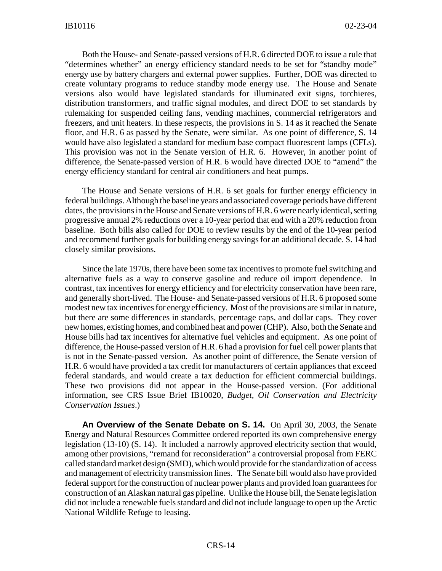Both the House- and Senate-passed versions of H.R. 6 directed DOE to issue a rule that "determines whether" an energy efficiency standard needs to be set for "standby mode" energy use by battery chargers and external power supplies. Further, DOE was directed to create voluntary programs to reduce standby mode energy use. The House and Senate versions also would have legislated standards for illuminated exit signs, torchieres, distribution transformers, and traffic signal modules, and direct DOE to set standards by rulemaking for suspended ceiling fans, vending machines, commercial refrigerators and freezers, and unit heaters. In these respects, the provisions in S. 14 as it reached the Senate floor, and H.R. 6 as passed by the Senate, were similar. As one point of difference, S. 14 would have also legislated a standard for medium base compact fluorescent lamps (CFLs). This provision was not in the Senate version of H.R. 6. However, in another point of difference, the Senate-passed version of H.R. 6 would have directed DOE to "amend" the energy efficiency standard for central air conditioners and heat pumps.

The House and Senate versions of H.R. 6 set goals for further energy efficiency in federal buildings. Although the baseline years and associated coverage periods have different dates, the provisions in the House and Senate versions of H.R. 6 were nearly identical, setting progressive annual 2% reductions over a 10-year period that end with a 20% reduction from baseline. Both bills also called for DOE to review results by the end of the 10-year period and recommend further goals for building energy savings for an additional decade. S. 14 had closely similar provisions.

Since the late 1970s, there have been some tax incentives to promote fuel switching and alternative fuels as a way to conserve gasoline and reduce oil import dependence. In contrast, tax incentives for energy efficiency and for electricity conservation have been rare, and generally short-lived. The House- and Senate-passed versions of H.R. 6 proposed some modest new tax incentives for energy efficiency. Most of the provisions are similar in nature, but there are some differences in standards, percentage caps, and dollar caps. They cover new homes, existing homes, and combined heat and power (CHP). Also, both the Senate and House bills had tax incentives for alternative fuel vehicles and equipment. As one point of difference, the House-passed version of H.R. 6 had a provision for fuel cell power plants that is not in the Senate-passed version. As another point of difference, the Senate version of H.R. 6 would have provided a tax credit for manufacturers of certain appliances that exceed federal standards, and would create a tax deduction for efficient commercial buildings. These two provisions did not appear in the House-passed version. (For additional information, see CRS Issue Brief IB10020, *Budget, Oil Conservation and Electricity Conservation Issues*.)

**An Overview of the Senate Debate on S. 14.** On April 30, 2003, the Senate Energy and Natural Resources Committee ordered reported its own comprehensive energy legislation (13-10) (S. 14). It included a narrowly approved electricity section that would, among other provisions, "remand for reconsideration" a controversial proposal from FERC called standard market design (SMD), which would provide for the standardization of access and management of electricity transmission lines. The Senate bill would also have provided federal support for the construction of nuclear power plants and provided loan guarantees for construction of an Alaskan natural gas pipeline. Unlike the House bill, the Senate legislation did not include a renewable fuels standard and did not include language to open up the Arctic National Wildlife Refuge to leasing.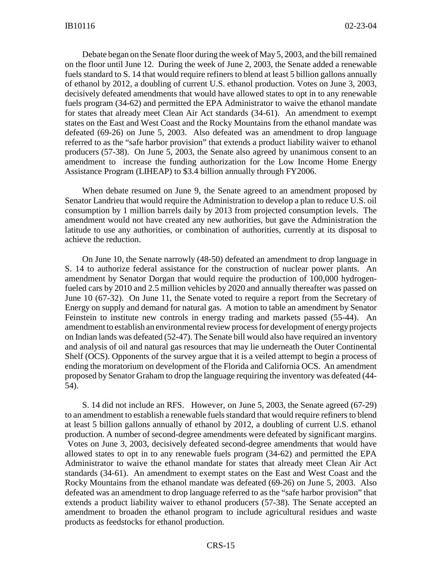Debate began on the Senate floor during the week of May 5, 2003, and the bill remained on the floor until June 12. During the week of June 2, 2003, the Senate added a renewable fuels standard to S. 14 that would require refiners to blend at least 5 billion gallons annually of ethanol by 2012, a doubling of current U.S. ethanol production. Votes on June 3, 2003, decisively defeated amendments that would have allowed states to opt in to any renewable fuels program (34-62) and permitted the EPA Administrator to waive the ethanol mandate for states that already meet Clean Air Act standards (34-61). An amendment to exempt states on the East and West Coast and the Rocky Mountains from the ethanol mandate was defeated (69-26) on June 5, 2003. Also defeated was an amendment to drop language referred to as the "safe harbor provision" that extends a product liability waiver to ethanol producers (57-38). On June 5, 2003, the Senate also agreed by unanimous consent to an amendment to increase the funding authorization for the Low Income Home Energy Assistance Program (LIHEAP) to \$3.4 billion annually through FY2006.

When debate resumed on June 9, the Senate agreed to an amendment proposed by Senator Landrieu that would require the Administration to develop a plan to reduce U.S. oil consumption by 1 million barrels daily by 2013 from projected consumption levels. The amendment would not have created any new authorities, but gave the Administration the latitude to use any authorities, or combination of authorities, currently at its disposal to achieve the reduction.

On June 10, the Senate narrowly (48-50) defeated an amendment to drop language in S. 14 to authorize federal assistance for the construction of nuclear power plants. An amendment by Senator Dorgan that would require the production of 100,000 hydrogenfueled cars by 2010 and 2.5 million vehicles by 2020 and annually thereafter was passed on June 10 (67-32). On June 11, the Senate voted to require a report from the Secretary of Energy on supply and demand for natural gas. A motion to table an amendment by Senator Feinstein to institute new controls in energy trading and markets passed (55-44). An amendment to establish an environmental review process for development of energy projects on Indian lands was defeated (52-47). The Senate bill would also have required an inventory and analysis of oil and natural gas resources that may lie underneath the Outer Continental Shelf (OCS). Opponents of the survey argue that it is a veiled attempt to begin a process of ending the moratorium on development of the Florida and California OCS. An amendment proposed by Senator Graham to drop the language requiring the inventory was defeated (44- 54).

S. 14 did not include an RFS. However, on June 5, 2003, the Senate agreed (67-29) to an amendment to establish a renewable fuels standard that would require refiners to blend at least 5 billion gallons annually of ethanol by 2012, a doubling of current U.S. ethanol production. A number of second-degree amendments were defeated by significant margins. Votes on June 3, 2003, decisively defeated second-degree amendments that would have allowed states to opt in to any renewable fuels program (34-62) and permitted the EPA Administrator to waive the ethanol mandate for states that already meet Clean Air Act standards (34-61). An amendment to exempt states on the East and West Coast and the Rocky Mountains from the ethanol mandate was defeated (69-26) on June 5, 2003. Also defeated was an amendment to drop language referred to as the "safe harbor provision" that extends a product liability waiver to ethanol producers (57-38). The Senate accepted an amendment to broaden the ethanol program to include agricultural residues and waste products as feedstocks for ethanol production.